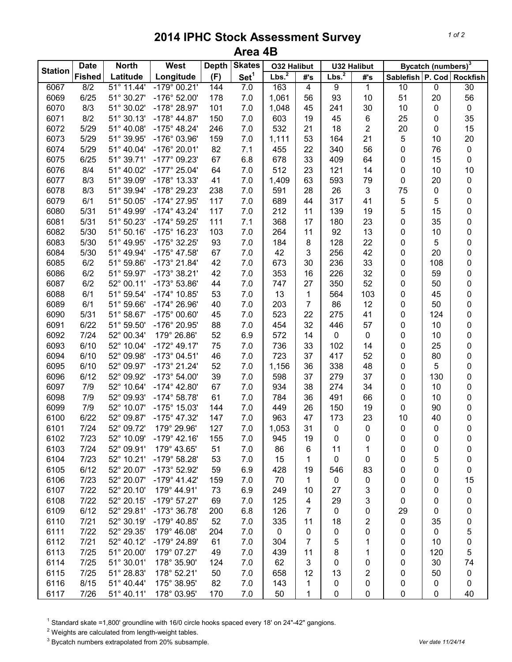## **2014 IPHC Stock Assessment Survey Area 4B**

| <b>Station</b> | <b>Date</b><br><b>North</b> |            | West                  | <b>Depth</b> | <b>Skates</b>    | <b>O32 Halibut</b> |                | <b>U32 Halibut</b> |                | Bycatch (numbers) <sup>3</sup> |                |                           |
|----------------|-----------------------------|------------|-----------------------|--------------|------------------|--------------------|----------------|--------------------|----------------|--------------------------------|----------------|---------------------------|
|                | <b>Fished</b>               | Latitude   | Longitude             | (F)          | Set <sup>1</sup> | Lbs. <sup>2</sup>  | #'s            | Lbs. <sup>2</sup>  | #'s            |                                |                | Sablefish P. Cod Rockfish |
| 6067           | 8/2                         | 51° 11.44' | $-179°00.21'$         | 144          | 7.0              | 163                | $\overline{4}$ | 9                  | 1              | 10                             | $\overline{0}$ | 30                        |
| 6069           | 6/25                        | 51° 30.27' | $-176^{\circ}$ 52.00' | 178          | 7.0              | 1,061              | 56             | 93                 | 10             | 51                             | 20             | 56                        |
| 6070           | 8/3                         | 51° 30.02' | -178° 28.97'          | 101          | 7.0              | 1,048              | 45             | 241                | 30             | 10                             | 0              | $\pmb{0}$                 |
| 6071           | 8/2                         | 51° 30.13' | $-178^{\circ}$ 44.87' | 150          | 7.0              | 603                | 19             | 45                 | 6              | 25                             | 0              | 35                        |
| 6072           | 5/29                        | 51° 40.08' | $-175^{\circ}$ 48.24' | 246          | 7.0              | 532                | 21             | 18                 | $\overline{2}$ | 20                             | 0              | 15                        |
| 6073           | 5/29                        | 51° 39.95' | -176° 03.96'          | 159          | 7.0              | 1,111              | 53             | 164                | 21             | 5                              | 10             | 20                        |
| 6074           | 5/29                        | 51° 40.04' | -176° 20.01'          | 82           | 7.1              | 455                | 22             | 340                | 56             | 0                              | 76             | $\pmb{0}$                 |
| 6075           | 6/25                        | 51° 39.71' | -177° 09.23'          | 67           | 6.8              | 678                | 33             | 409                | 64             | 0                              | 15             | $\boldsymbol{0}$          |
| 6076           | 8/4                         | 51° 40.02' | $-177^{\circ}$ 25.04' | 64           | 7.0              | 512                | 23             | 121                | 14             | 0                              | 10             | 10                        |
| 6077           | 8/3                         | 51° 39.09' | -178° 13.33'          | 41           | 7.0              | 1,409              | 63             | 593                | 79             | 0                              | 20             | 0                         |
| 6078           | 8/3                         | 51° 39.94' | -178° 29.23'          | 238          | 7.0              | 591                | 28             | 26                 | 3              | 75                             | 0              | 0                         |
| 6079           | 6/1                         | 51° 50.05' | -174° 27.95'          | 117          | 7.0              | 689                | 44             | 317                | 41             | 5                              | 5              | $\pmb{0}$                 |
| 6080           | 5/31                        | 51° 49.99' | $-174^{\circ}$ 43.24' | 117          | 7.0              | 212                | 11             | 139                | 19             | 5                              | 15             | $\pmb{0}$                 |
| 6081           | 5/31                        | 51° 50.23' | $-174^{\circ} 59.25'$ | 111          | 7.1              | 368                | 17             | 180                | 23             | 0                              | 35             | 0                         |
| 6082           | 5/30                        | 51° 50.16' | -175° 16.23'          | 103          | 7.0              | 264                | 11             | 92                 | 13             | 0                              | 10             | 0                         |
| 6083           | 5/30                        | 51° 49.95' | -175° 32.25'          | 93           | 7.0              | 184                | 8              | 128                | 22             | 0                              | 5              | 0                         |
| 6084           | 5/30                        | 51° 49.94' | $-175^{\circ}$ 47.58' | 67           | 7.0              | 42                 | $\mathbf{3}$   | 256                | 42             | 0                              | 20             | 0                         |
| 6085           | 6/2                         | 51° 59.86' | $-173^{\circ}$ 21.84' | 42           | 7.0              | 673                | 30             | 236                | 33             | 0                              | 108            | 0                         |
| 6086           | 6/2                         | 51° 59.97' | $-173°38.21'$         | 42           | 7.0              | 353                | 16             | 226                | 32             | 0                              | 59             | $\pmb{0}$                 |
| 6087           | 6/2                         | 52° 00.11' | -173° 53.86'          | 44           | 7.0              | 747                | 27             | 350                | 52             | $\pmb{0}$                      | 50             | $\pmb{0}$                 |
| 6088           | 6/1                         | 51° 59.54' | $-174^{\circ}$ 10.85' | 53           | 7.0              | 13                 | 1              | 564                | 103            | $\pmb{0}$                      | 45             | $\pmb{0}$                 |
| 6089           | 6/1                         | 51° 59.66' | -174° 26.96'          | 40           | 7.0              | 203                | $\overline{7}$ | 86                 | 12             | 0                              | 50             | $\pmb{0}$                 |
| 6090           | 5/31                        | 51° 58.67' | -175° 00.60'          | 45           | 7.0              | 523                | 22             | 275                | 41             | 0                              | 124            | $\pmb{0}$                 |
| 6091           | 6/22                        | 51° 59.50' | -176° 20.95'          | 88           | 7.0              | 454                | 32             | 446                | 57             | 0                              | 10             | 0                         |
| 6092           | 7/24                        | 52° 00.34' | 179° 26.86'           | 52           | 6.9              | 572                | 14             | 0                  | 0              | 0                              | 10             | 0                         |
| 6093           | 6/10                        | 52° 10.04' | $-172^{\circ}$ 49.17' | 75           | 7.0              | 736                | 33             | 102                | 14             | 0                              | 25             | 0                         |
| 6094           | 6/10                        | 52° 09.98' | $-173°04.51'$         | 46           | 7.0              | 723                | 37             | 417                | 52             | 0                              | 80             | 0                         |
| 6095           | 6/10                        | 52° 09.97' | $-173^{\circ}$ 21.24' | 52           | 7.0              | 1,156              | 36             | 338                | 48             | 0                              | 5              | 0                         |
| 6096           | 6/12                        | 52° 09.92' | $-173^{\circ} 54.00'$ | 39           | 7.0              | 598                | 37             | 279                | 37             | 0                              | 130            | 0                         |
| 6097           | 7/9                         | 52° 10.64' | $-174^{\circ}$ 42.80' | 67           | 7.0              | 934                | 38             | 274                | 34             | 0                              | 10             | $\pmb{0}$                 |
| 6098           | 7/9                         | 52° 09.93' | $-174^{\circ}58.78'$  | 61           | 7.0              | 784                | 36             | 491                | 66             | 0                              | 10             | 0                         |
| 6099           | 7/9                         | 52° 10.07' | $-175^{\circ}$ 15.03' | 144          | 7.0              | 449                | 26             | 150                | 19             | 0                              | 90             | 0                         |
| 6100           | 6/22                        | 52° 09.87' | $-175^{\circ}$ 47.32' | 147          | 7.0              | 963                | 47             | 173                | 23             | 10                             | 40             | 0                         |
| 6101           | 7/24                        | 52° 09.72' | 179° 29.96'           | 127          | 7.0              | 1,053              | 31             | 0                  | $\pmb{0}$      | $\pmb{0}$                      | 0              | $\pmb{0}$                 |
| 6102           | 7/23                        | 52° 10.09' | $-179°$ 42.16'        | 155          | 7.0              | 945                | 19             | 0                  | 0              | 0                              | 0              | 0                         |
| 6103           | 7/24                        | 52° 09.91' | 179° 43.65'           | 51           | 7.0              | 86                 | 6              | 11                 | 1              | 0                              | 0              | 0                         |
| 6104           | 7/23                        | 52° 10.21' | -179° 58.28'          | 53           | 7.0              | 15                 | 1              | 0                  | 0              | 0                              | 5              | 0                         |
| 6105           | 6/12                        | 52° 20.07' | $-173^{\circ}$ 52.92' | 59           | 6.9              | 428                | 19             | 546                | 83             | 0                              | 0              | 0                         |
| 6106           | 7/23                        | 52° 20.07' | $-179^{\circ}$ 41.42' | 159          | 7.0              | 70                 | 1              | 0                  | 0              | 0                              | 0              | 15                        |
| 6107           | 7/22                        | 52° 20.10' | 179° 44.91'           | 73           | 6.9              | 249                | 10             | 27                 | 3              | 0                              | 0              | 0                         |
| 6108           | 7/22                        | 52° 20.15' | $-179^{\circ}$ 57.27' | 69           | 7.0              | 125                | 4              | 29                 | 3              | 0                              | 0              | 0                         |
| 6109           | 6/12                        | 52° 29.81' | -173° 36.78'          | 200          | 6.8              | 126                | 7              | 0                  | 0              | 29                             | 0              | 0                         |
| 6110           | 7/21                        | 52° 30.19' | -179° 40.85'          | 52           | 7.0              | 335                | 11             | 18                 | 2              | 0                              | 35             | 0                         |
| 6111           | 7/22                        | 52° 29.35' | 179° 46.08'           | 204          | 7.0              | 0                  | 0              | 0                  | 0              | 0                              | $\mathbf 0$    | 5                         |
| 6112           | 7/21                        | 52° 40.12' | -179° 24.89'          | 61           | 7.0              | 304                | 7              | 5                  | 1              | 0                              | 10             | 0                         |
| 6113           | 7/25                        | 51° 20.00' | 179° 07.27'           | 49           | 7.0              | 439                | 11             | 8                  | 1              | 0                              | 120            | 5                         |
| 6114           | 7/25                        | 51° 30.01' | 178° 35.90'           | 124          | 7.0              | 62                 | 3              | 0                  | 0              | 0                              | 30             | 74                        |
| 6115           | 7/25                        | 51° 28.83' | 178° 52.21'           | 50           | 7.0              | 658                | 12             | 13                 | 2              | 0                              | 50             | $\boldsymbol{0}$          |
| 6116           | 8/15                        | 51° 40.44' | 175° 38.95'           | 82           | 7.0              | 143                | 1              | 0                  | 0              | 0                              | 0              | 0                         |
| 6117           | 7/26                        | 51° 40.11' | 178° 03.95'           | 170          | 7.0              | 50                 | 1              | 0                  | 0              | $\pmb{0}$                      | 0              | 40                        |

<sup>1</sup> Standard skate =1,800' groundline with 16/0 circle hooks spaced every 18' on 24"-42" gangions.

Weights are calculated from length-weight tables.

<sup>3</sup> Bycatch numbers extrapolated from 20% subsample. *Vertal and the straps of the straps of the three filtheration*